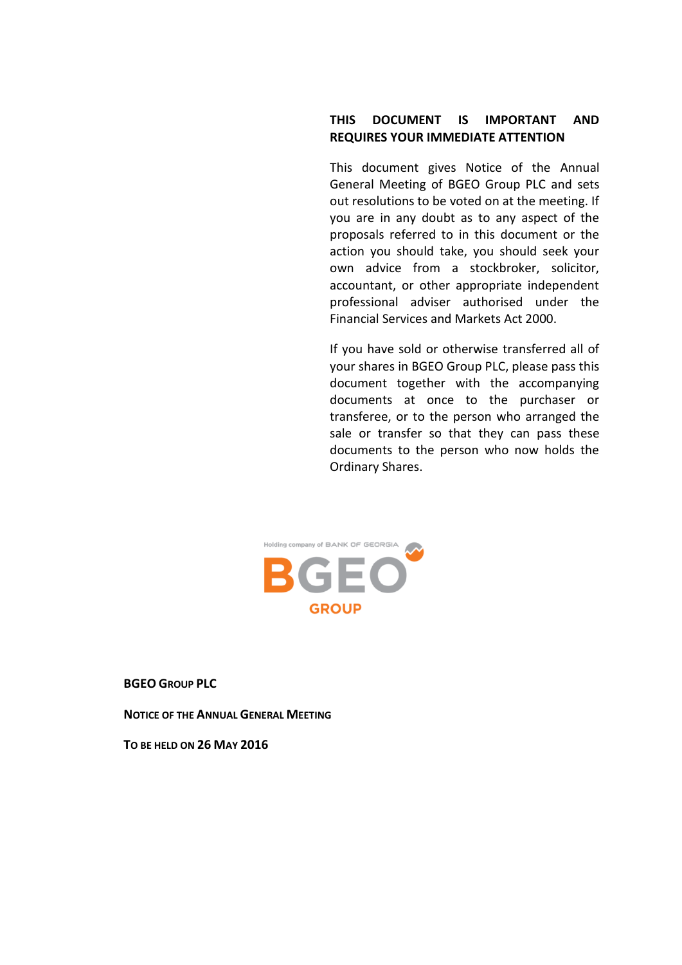# **THIS DOCUMENT IS IMPORTANT AND REQUIRES YOUR IMMEDIATE ATTENTION**

This document gives Notice of the Annual General Meeting of BGEO Group PLC and sets out resolutions to be voted on at the meeting. If you are in any doubt as to any aspect of the proposals referred to in this document or the action you should take, you should seek your own advice from a stockbroker, solicitor, accountant, or other appropriate independent professional adviser authorised under the Financial Services and Markets Act 2000.

If you have sold or otherwise transferred all of your shares in BGEO Group PLC, please pass this document together with the accompanying documents at once to the purchaser or transferee, or to the person who arranged the sale or transfer so that they can pass these documents to the person who now holds the Ordinary Shares.



**BGEO GROUP PLC**

**NOTICE OF THE ANNUAL GENERAL MEETING**

**TO BE HELD ON 26 MAY 2016**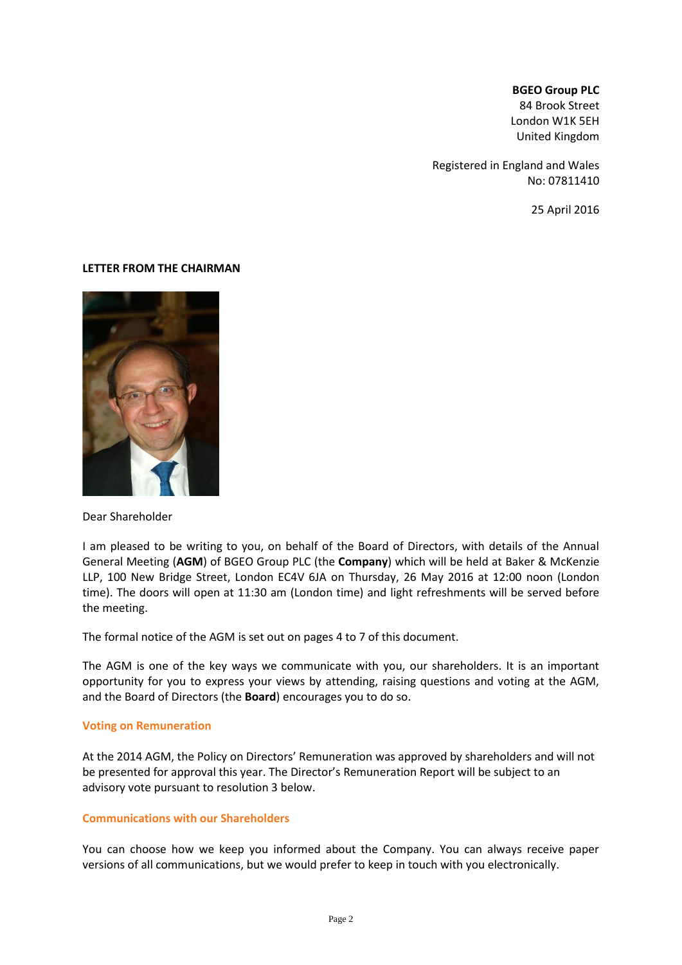#### **BGEO Group PLC**

84 Brook Street London W1K 5EH United Kingdom

Registered in England and Wales No: 07811410

25 April 2016

### **LETTER FROM THE CHAIRMAN**



Dear Shareholder

I am pleased to be writing to you, on behalf of the Board of Directors, with details of the Annual General Meeting (**AGM**) of BGEO Group PLC (the **Company**) which will be held at Baker & McKenzie LLP, 100 New Bridge Street, London EC4V 6JA on Thursday, 26 May 2016 at 12:00 noon (London time). The doors will open at 11:30 am (London time) and light refreshments will be served before the meeting.

The formal notice of the AGM is set out on pages 4 to 7 of this document.

The AGM is one of the key ways we communicate with you, our shareholders. It is an important opportunity for you to express your views by attending, raising questions and voting at the AGM, and the Board of Directors (the **Board**) encourages you to do so.

#### **Voting on Remuneration**

At the 2014 AGM, the Policy on Directors' Remuneration was approved by shareholders and will not be presented for approval this year. The Director's Remuneration Report will be subject to an advisory vote pursuant to resolution 3 below.

# **Communications with our Shareholders**

You can choose how we keep you informed about the Company. You can always receive paper versions of all communications, but we would prefer to keep in touch with you electronically.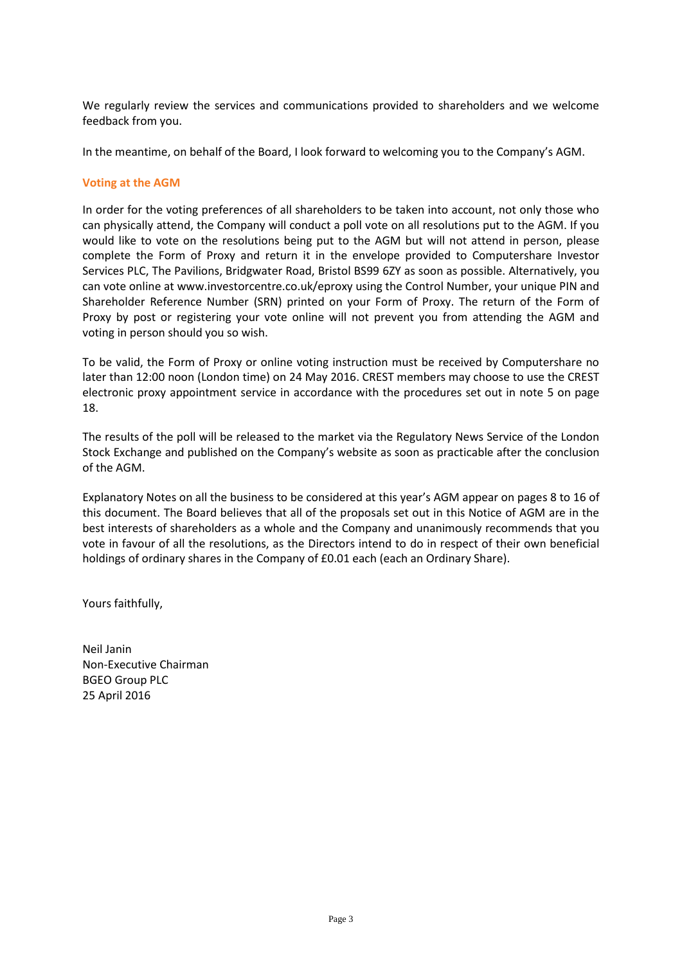We regularly review the services and communications provided to shareholders and we welcome feedback from you.

In the meantime, on behalf of the Board, I look forward to welcoming you to the Company's AGM.

# **Voting at the AGM**

In order for the voting preferences of all shareholders to be taken into account, not only those who can physically attend, the Company will conduct a poll vote on all resolutions put to the AGM. If you would like to vote on the resolutions being put to the AGM but will not attend in person, please complete the Form of Proxy and return it in the envelope provided to Computershare Investor Services PLC, The Pavilions, Bridgwater Road, Bristol BS99 6ZY as soon as possible. Alternatively, you can vote online at www.investorcentre.co.uk/eproxy using the Control Number, your unique PIN and Shareholder Reference Number (SRN) printed on your Form of Proxy. The return of the Form of Proxy by post or registering your vote online will not prevent you from attending the AGM and voting in person should you so wish.

To be valid, the Form of Proxy or online voting instruction must be received by Computershare no later than 12:00 noon (London time) on 24 May 2016. CREST members may choose to use the CREST electronic proxy appointment service in accordance with the procedures set out in note 5 on page 18.

The results of the poll will be released to the market via the Regulatory News Service of the London Stock Exchange and published on the Company's website as soon as practicable after the conclusion of the AGM.

Explanatory Notes on all the business to be considered at this year's AGM appear on pages 8 to 16 of this document. The Board believes that all of the proposals set out in this Notice of AGM are in the best interests of shareholders as a whole and the Company and unanimously recommends that you vote in favour of all the resolutions, as the Directors intend to do in respect of their own beneficial holdings of ordinary shares in the Company of £0.01 each (each an Ordinary Share).

Yours faithfully,

Neil Janin Non-Executive Chairman BGEO Group PLC 25 April 2016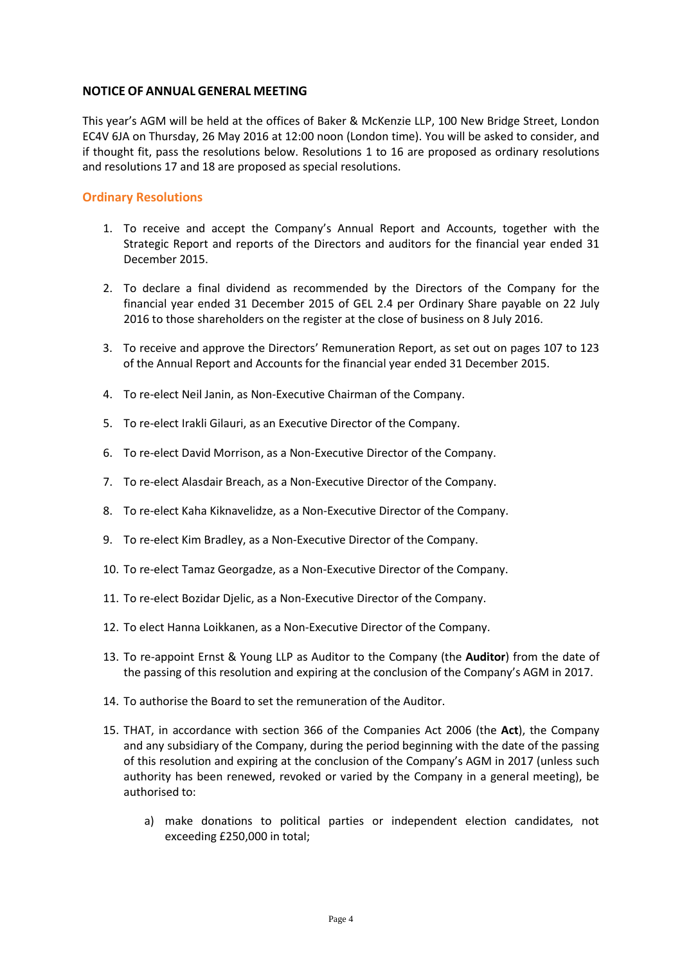# **NOTICE OF ANNUAL GENERAL MEETING**

This year's AGM will be held at the offices of Baker & McKenzie LLP, 100 New Bridge Street, London EC4V 6JA on Thursday, 26 May 2016 at 12:00 noon (London time). You will be asked to consider, and if thought fit, pass the resolutions below. Resolutions 1 to 16 are proposed as ordinary resolutions and resolutions 17 and 18 are proposed as special resolutions.

# **Ordinary Resolutions**

- 1. To receive and accept the Company's Annual Report and Accounts, together with the Strategic Report and reports of the Directors and auditors for the financial year ended 31 December 2015.
- 2. To declare a final dividend as recommended by the Directors of the Company for the financial year ended 31 December 2015 of GEL 2.4 per Ordinary Share payable on 22 July 2016 to those shareholders on the register at the close of business on 8 July 2016.
- 3. To receive and approve the Directors' Remuneration Report, as set out on pages 107 to 123 of the Annual Report and Accounts for the financial year ended 31 December 2015.
- 4. To re-elect Neil Janin, as Non-Executive Chairman of the Company.
- 5. To re-elect Irakli Gilauri, as an Executive Director of the Company.
- 6. To re-elect David Morrison, as a Non-Executive Director of the Company.
- 7. To re-elect Alasdair Breach, as a Non-Executive Director of the Company.
- 8. To re-elect Kaha Kiknavelidze, as a Non-Executive Director of the Company.
- 9. To re-elect Kim Bradley, as a Non-Executive Director of the Company.
- 10. To re-elect Tamaz Georgadze, as a Non-Executive Director of the Company.
- 11. To re-elect Bozidar Djelic, as a Non-Executive Director of the Company.
- 12. To elect Hanna Loikkanen, as a Non-Executive Director of the Company.
- 13. To re-appoint Ernst & Young LLP as Auditor to the Company (the **Auditor**) from the date of the passing of this resolution and expiring at the conclusion of the Company's AGM in 2017.
- 14. To authorise the Board to set the remuneration of the Auditor.
- 15. THAT, in accordance with section 366 of the Companies Act 2006 (the **Act**), the Company and any subsidiary of the Company, during the period beginning with the date of the passing of this resolution and expiring at the conclusion of the Company's AGM in 2017 (unless such authority has been renewed, revoked or varied by the Company in a general meeting), be authorised to:
	- a) make donations to political parties or independent election candidates, not exceeding £250,000 in total;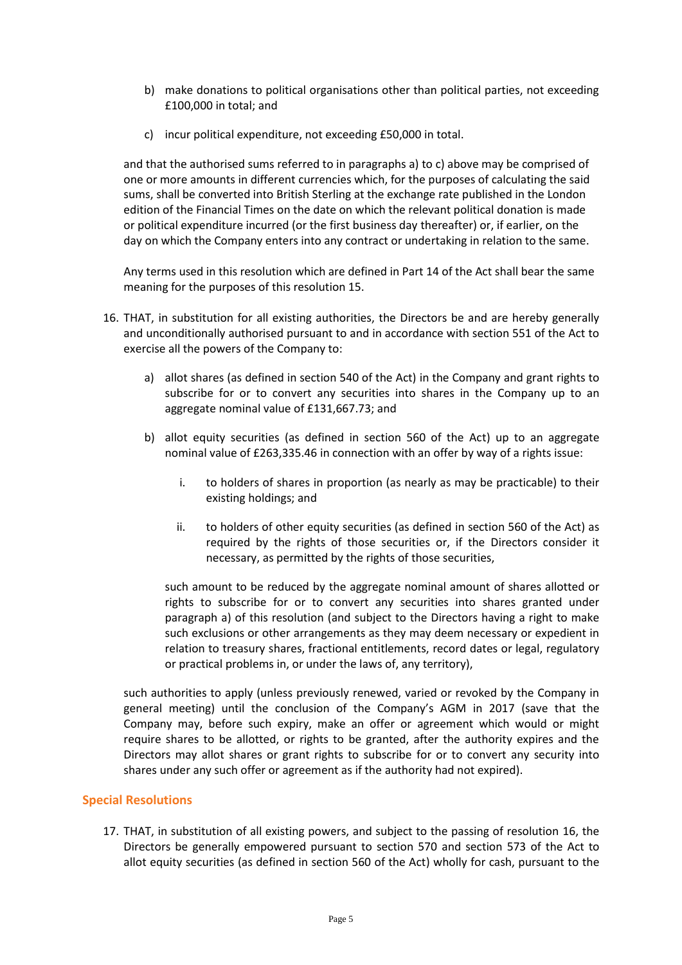- b) make donations to political organisations other than political parties, not exceeding £100,000 in total; and
- c) incur political expenditure, not exceeding £50,000 in total.

and that the authorised sums referred to in paragraphs a) to c) above may be comprised of one or more amounts in different currencies which, for the purposes of calculating the said sums, shall be converted into British Sterling at the exchange rate published in the London edition of the Financial Times on the date on which the relevant political donation is made or political expenditure incurred (or the first business day thereafter) or, if earlier, on the day on which the Company enters into any contract or undertaking in relation to the same.

Any terms used in this resolution which are defined in Part 14 of the Act shall bear the same meaning for the purposes of this resolution 15.

- 16. THAT, in substitution for all existing authorities, the Directors be and are hereby generally and unconditionally authorised pursuant to and in accordance with section 551 of the Act to exercise all the powers of the Company to:
	- a) allot shares (as defined in section 540 of the Act) in the Company and grant rights to subscribe for or to convert any securities into shares in the Company up to an aggregate nominal value of £131,667.73; and
	- b) allot equity securities (as defined in section 560 of the Act) up to an aggregate nominal value of £263,335.46 in connection with an offer by way of a rights issue:
		- i. to holders of shares in proportion (as nearly as may be practicable) to their existing holdings; and
		- ii. to holders of other equity securities (as defined in section 560 of the Act) as required by the rights of those securities or, if the Directors consider it necessary, as permitted by the rights of those securities,

such amount to be reduced by the aggregate nominal amount of shares allotted or rights to subscribe for or to convert any securities into shares granted under paragraph a) of this resolution (and subject to the Directors having a right to make such exclusions or other arrangements as they may deem necessary or expedient in relation to treasury shares, fractional entitlements, record dates or legal, regulatory or practical problems in, or under the laws of, any territory),

such authorities to apply (unless previously renewed, varied or revoked by the Company in general meeting) until the conclusion of the Company's AGM in 2017 (save that the Company may, before such expiry, make an offer or agreement which would or might require shares to be allotted, or rights to be granted, after the authority expires and the Directors may allot shares or grant rights to subscribe for or to convert any security into shares under any such offer or agreement as if the authority had not expired).

# **Special Resolutions**

17. THAT, in substitution of all existing powers, and subject to the passing of resolution 16, the Directors be generally empowered pursuant to section 570 and section 573 of the Act to allot equity securities (as defined in section 560 of the Act) wholly for cash, pursuant to the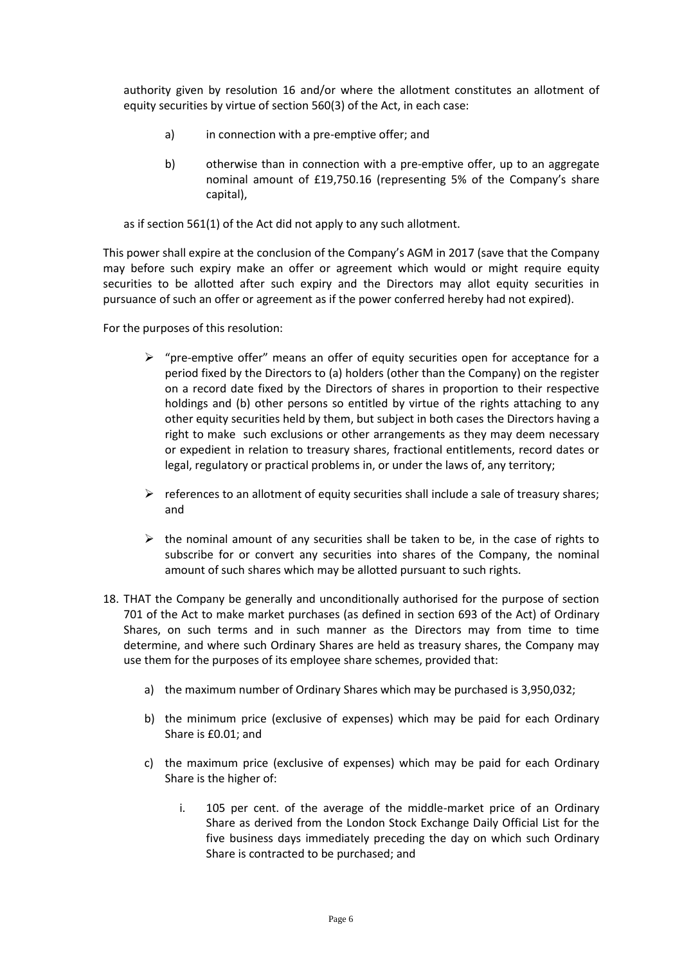authority given by resolution 16 and/or where the allotment constitutes an allotment of equity securities by virtue of section 560(3) of the Act, in each case:

- a) in connection with a pre-emptive offer; and
- b) otherwise than in connection with a pre-emptive offer, up to an aggregate nominal amount of £19,750.16 (representing 5% of the Company's share capital),

as if section 561(1) of the Act did not apply to any such allotment.

This power shall expire at the conclusion of the Company's AGM in 2017 (save that the Company may before such expiry make an offer or agreement which would or might require equity securities to be allotted after such expiry and the Directors may allot equity securities in pursuance of such an offer or agreement as if the power conferred hereby had not expired).

For the purposes of this resolution:

- $\triangleright$  "pre-emptive offer" means an offer of equity securities open for acceptance for a period fixed by the Directors to (a) holders (other than the Company) on the register on a record date fixed by the Directors of shares in proportion to their respective holdings and (b) other persons so entitled by virtue of the rights attaching to any other equity securities held by them, but subject in both cases the Directors having a right to make such exclusions or other arrangements as they may deem necessary or expedient in relation to treasury shares, fractional entitlements, record dates or legal, regulatory or practical problems in, or under the laws of, any territory;
- $\triangleright$  references to an allotment of equity securities shall include a sale of treasury shares; and
- $\triangleright$  the nominal amount of any securities shall be taken to be, in the case of rights to subscribe for or convert any securities into shares of the Company, the nominal amount of such shares which may be allotted pursuant to such rights.
- 18. THAT the Company be generally and unconditionally authorised for the purpose of section 701 of the Act to make market purchases (as defined in section 693 of the Act) of Ordinary Shares, on such terms and in such manner as the Directors may from time to time determine, and where such Ordinary Shares are held as treasury shares, the Company may use them for the purposes of its employee share schemes, provided that:
	- a) the maximum number of Ordinary Shares which may be purchased is 3,950,032;
	- b) the minimum price (exclusive of expenses) which may be paid for each Ordinary Share is £0.01; and
	- c) the maximum price (exclusive of expenses) which may be paid for each Ordinary Share is the higher of:
		- i. 105 per cent. of the average of the middle-market price of an Ordinary Share as derived from the London Stock Exchange Daily Official List for the five business days immediately preceding the day on which such Ordinary Share is contracted to be purchased; and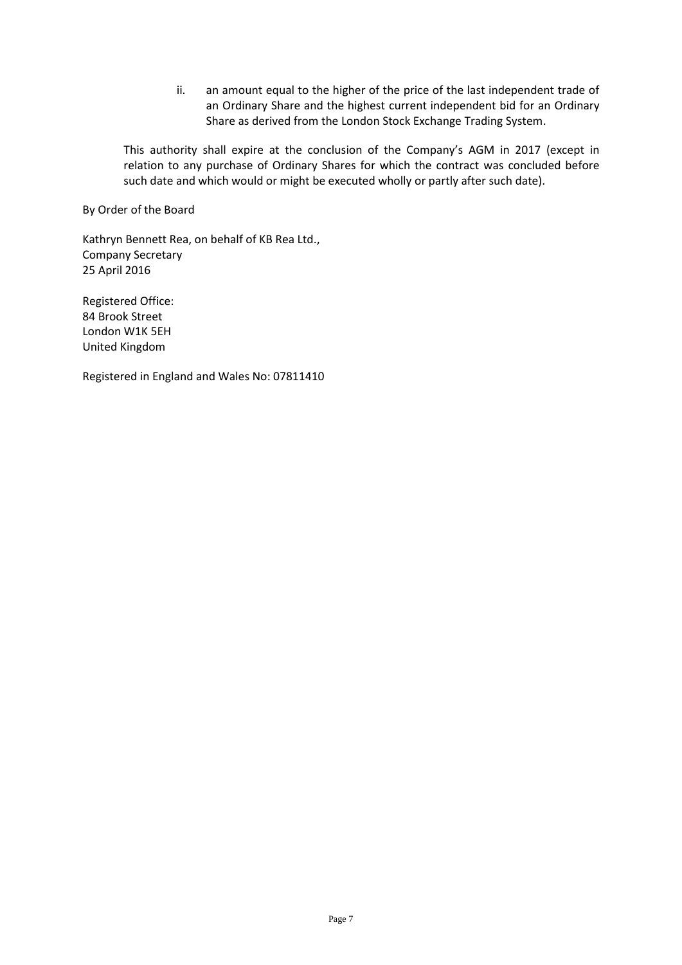ii. an amount equal to the higher of the price of the last independent trade of an Ordinary Share and the highest current independent bid for an Ordinary Share as derived from the London Stock Exchange Trading System.

This authority shall expire at the conclusion of the Company's AGM in 2017 (except in relation to any purchase of Ordinary Shares for which the contract was concluded before such date and which would or might be executed wholly or partly after such date).

By Order of the Board

Kathryn Bennett Rea, on behalf of KB Rea Ltd., Company Secretary 25 April 2016

Registered Office: 84 Brook Street London W1K 5EH United Kingdom

Registered in England and Wales No: 07811410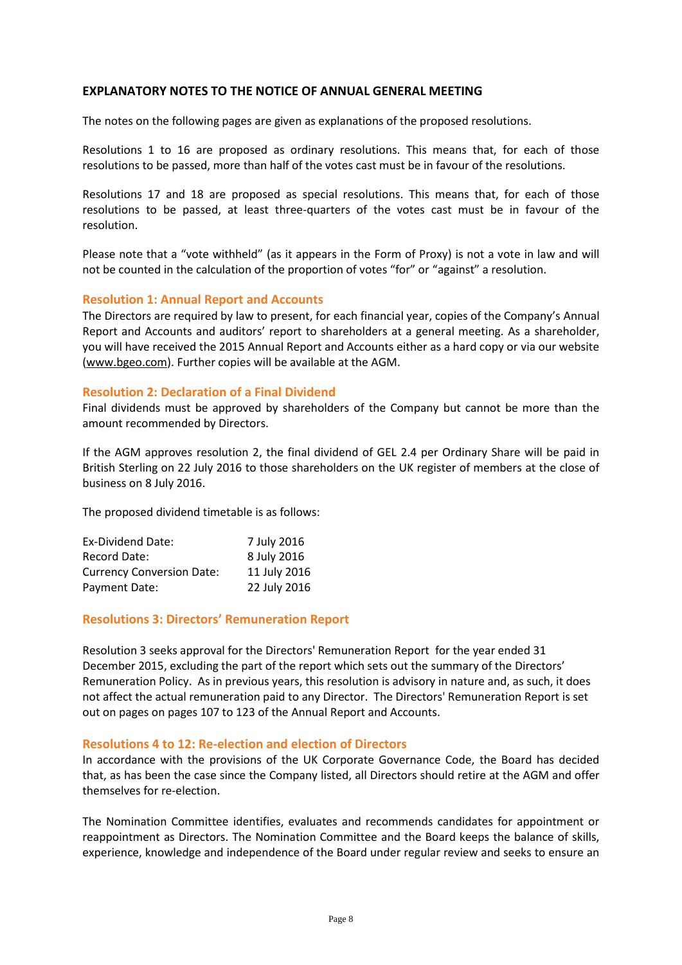# **EXPLANATORY NOTES TO THE NOTICE OF ANNUAL GENERAL MEETING**

The notes on the following pages are given as explanations of the proposed resolutions.

Resolutions 1 to 16 are proposed as ordinary resolutions. This means that, for each of those resolutions to be passed, more than half of the votes cast must be in favour of the resolutions.

Resolutions 17 and 18 are proposed as special resolutions. This means that, for each of those resolutions to be passed, at least three-quarters of the votes cast must be in favour of the resolution.

Please note that a "vote withheld" (as it appears in the Form of Proxy) is not a vote in law and will not be counted in the calculation of the proportion of votes "for" or "against" a resolution.

# **Resolution 1: Annual Report and Accounts**

The Directors are required by law to present, for each financial year, copies of the Company's Annual Report and Accounts and auditors' report to shareholders at a general meeting. As a shareholder, you will have received the 2015 Annual Report and Accounts either as a hard copy or via our website [\(www.bgeo.com\)](http://www.bgeo.com/). Further copies will be available at the AGM.

# **Resolution 2: Declaration of a Final Dividend**

Final dividends must be approved by shareholders of the Company but cannot be more than the amount recommended by Directors.

If the AGM approves resolution 2, the final dividend of GEL 2.4 per Ordinary Share will be paid in British Sterling on 22 July 2016 to those shareholders on the UK register of members at the close of business on 8 July 2016.

The proposed dividend timetable is as follows:

| Ex-Dividend Date:                | 7 July 2016  |
|----------------------------------|--------------|
| <b>Record Date:</b>              | 8 July 2016  |
| <b>Currency Conversion Date:</b> | 11 July 2016 |
| Payment Date:                    | 22 July 2016 |

# **Resolutions 3: Directors' Remuneration Report**

Resolution 3 seeks approval for the Directors' Remuneration Report for the year ended 31 December 2015, excluding the part of the report which sets out the summary of the Directors' Remuneration Policy. As in previous years, this resolution is advisory in nature and, as such, it does not affect the actual remuneration paid to any Director. The Directors' Remuneration Report is set out on pages on pages 107 to 123 of the Annual Report and Accounts.

#### **Resolutions 4 to 12: Re-election and election of Directors**

In accordance with the provisions of the UK Corporate Governance Code, the Board has decided that, as has been the case since the Company listed, all Directors should retire at the AGM and offer themselves for re-election.

The Nomination Committee identifies, evaluates and recommends candidates for appointment or reappointment as Directors. The Nomination Committee and the Board keeps the balance of skills, experience, knowledge and independence of the Board under regular review and seeks to ensure an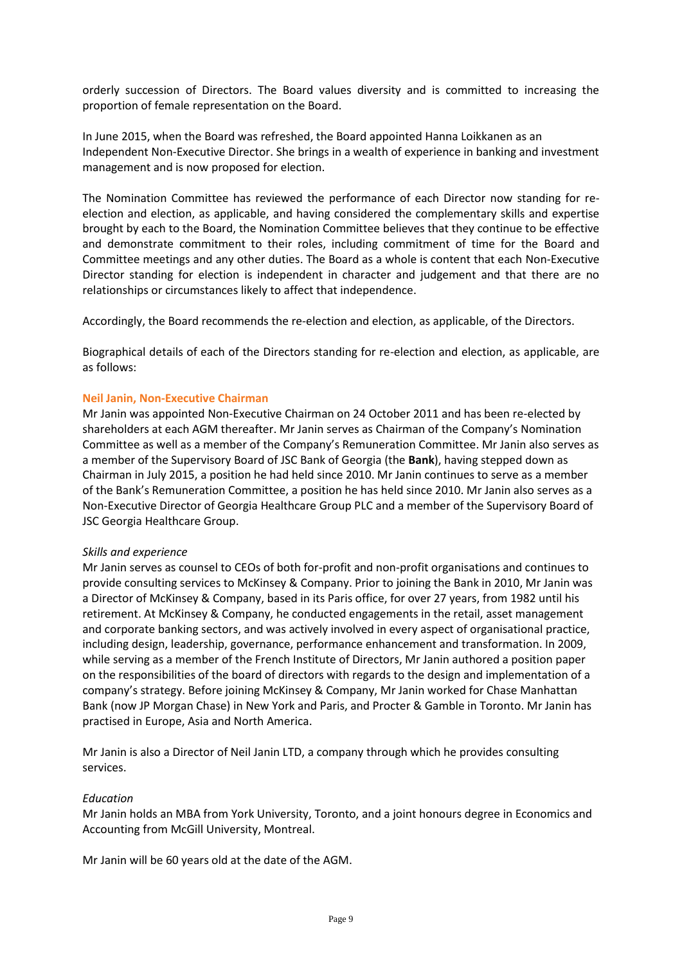orderly succession of Directors. The Board values diversity and is committed to increasing the proportion of female representation on the Board.

In June 2015, when the Board was refreshed, the Board appointed Hanna Loikkanen as an Independent Non-Executive Director. She brings in a wealth of experience in banking and investment management and is now proposed for election.

The Nomination Committee has reviewed the performance of each Director now standing for reelection and election, as applicable, and having considered the complementary skills and expertise brought by each to the Board, the Nomination Committee believes that they continue to be effective and demonstrate commitment to their roles, including commitment of time for the Board and Committee meetings and any other duties. The Board as a whole is content that each Non-Executive Director standing for election is independent in character and judgement and that there are no relationships or circumstances likely to affect that independence.

Accordingly, the Board recommends the re-election and election, as applicable, of the Directors.

Biographical details of each of the Directors standing for re-election and election, as applicable, are as follows:

### **Neil Janin, Non-Executive Chairman**

Mr Janin was appointed Non-Executive Chairman on 24 October 2011 and has been re-elected by shareholders at each AGM thereafter. Mr Janin serves as Chairman of the Company's Nomination Committee as well as a member of the Company's Remuneration Committee. Mr Janin also serves as a member of the Supervisory Board of JSC Bank of Georgia (the **Bank**), having stepped down as Chairman in July 2015, a position he had held since 2010. Mr Janin continues to serve as a member of the Bank's Remuneration Committee, a position he has held since 2010. Mr Janin also serves as a Non-Executive Director of Georgia Healthcare Group PLC and a member of the Supervisory Board of JSC Georgia Healthcare Group.

#### *Skills and experience*

Mr Janin serves as counsel to CEOs of both for-profit and non-profit organisations and continues to provide consulting services to McKinsey & Company. Prior to joining the Bank in 2010, Mr Janin was a Director of McKinsey & Company, based in its Paris office, for over 27 years, from 1982 until his retirement. At McKinsey & Company, he conducted engagements in the retail, asset management and corporate banking sectors, and was actively involved in every aspect of organisational practice, including design, leadership, governance, performance enhancement and transformation. In 2009, while serving as a member of the French Institute of Directors, Mr Janin authored a position paper on the responsibilities of the board of directors with regards to the design and implementation of a company's strategy. Before joining McKinsey & Company, Mr Janin worked for Chase Manhattan Bank (now JP Morgan Chase) in New York and Paris, and Procter & Gamble in Toronto. Mr Janin has practised in Europe, Asia and North America.

Mr Janin is also a Director of Neil Janin LTD, a company through which he provides consulting services.

# *Education*

Mr Janin holds an MBA from York University, Toronto, and a joint honours degree in Economics and Accounting from McGill University, Montreal.

Mr Janin will be 60 years old at the date of the AGM.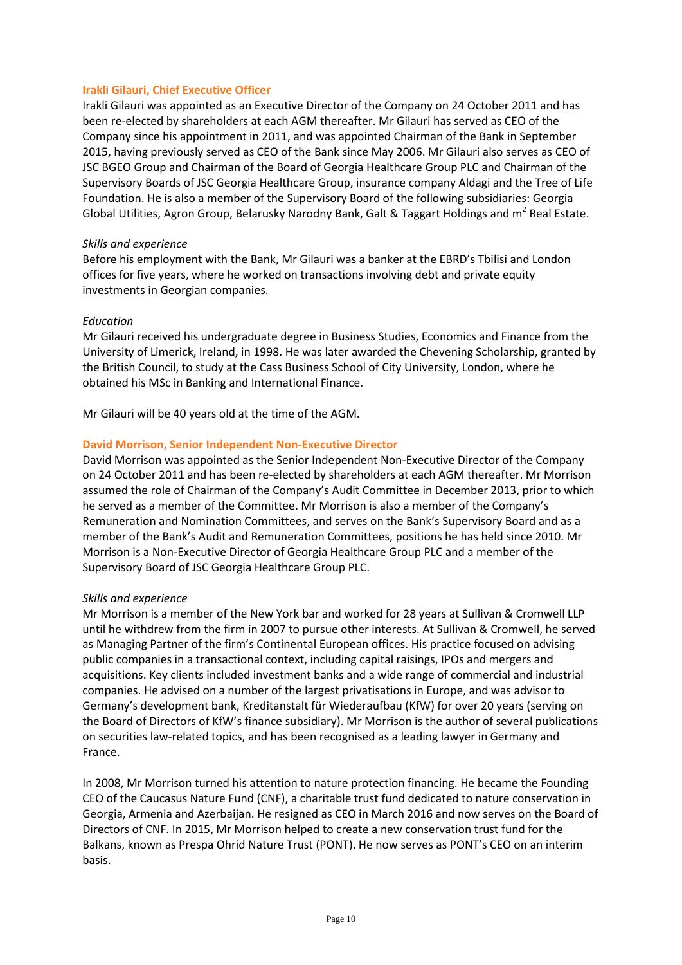# **Irakli Gilauri, Chief Executive Officer**

Irakli Gilauri was appointed as an Executive Director of the Company on 24 October 2011 and has been re-elected by shareholders at each AGM thereafter. Mr Gilauri has served as CEO of the Company since his appointment in 2011, and was appointed Chairman of the Bank in September 2015, having previously served as CEO of the Bank since May 2006. Mr Gilauri also serves as CEO of JSC BGEO Group and Chairman of the Board of Georgia Healthcare Group PLC and Chairman of the Supervisory Boards of JSC Georgia Healthcare Group, insurance company Aldagi and the Tree of Life Foundation. He is also a member of the Supervisory Board of the following subsidiaries: Georgia Global Utilities, Agron Group, Belarusky Narodny Bank, Galt & Taggart Holdings and  $m^2$  Real Estate.

#### *Skills and experience*

Before his employment with the Bank, Mr Gilauri was a banker at the EBRD's Tbilisi and London offices for five years, where he worked on transactions involving debt and private equity investments in Georgian companies.

### *Education*

Mr Gilauri received his undergraduate degree in Business Studies, Economics and Finance from the University of Limerick, Ireland, in 1998. He was later awarded the Chevening Scholarship, granted by the British Council, to study at the Cass Business School of City University, London, where he obtained his MSc in Banking and International Finance.

Mr Gilauri will be 40 years old at the time of the AGM.

### **David Morrison, Senior Independent Non-Executive Director**

David Morrison was appointed as the Senior Independent Non-Executive Director of the Company on 24 October 2011 and has been re-elected by shareholders at each AGM thereafter. Mr Morrison assumed the role of Chairman of the Company's Audit Committee in December 2013, prior to which he served as a member of the Committee. Mr Morrison is also a member of the Company's Remuneration and Nomination Committees, and serves on the Bank's Supervisory Board and as a member of the Bank's Audit and Remuneration Committees, positions he has held since 2010. Mr Morrison is a Non-Executive Director of Georgia Healthcare Group PLC and a member of the Supervisory Board of JSC Georgia Healthcare Group PLC.

#### *Skills and experience*

Mr Morrison is a member of the New York bar and worked for 28 years at Sullivan & Cromwell LLP until he withdrew from the firm in 2007 to pursue other interests. At Sullivan & Cromwell, he served as Managing Partner of the firm's Continental European offices. His practice focused on advising public companies in a transactional context, including capital raisings, IPOs and mergers and acquisitions. Key clients included investment banks and a wide range of commercial and industrial companies. He advised on a number of the largest privatisations in Europe, and was advisor to Germany's development bank, Kreditanstalt für Wiederaufbau (KfW) for over 20 years (serving on the Board of Directors of KfW's finance subsidiary). Mr Morrison is the author of several publications on securities law-related topics, and has been recognised as a leading lawyer in Germany and France.

In 2008, Mr Morrison turned his attention to nature protection financing. He became the Founding CEO of the Caucasus Nature Fund (CNF), a charitable trust fund dedicated to nature conservation in Georgia, Armenia and Azerbaijan. He resigned as CEO in March 2016 and now serves on the Board of Directors of CNF. In 2015, Mr Morrison helped to create a new conservation trust fund for the Balkans, known as Prespa Ohrid Nature Trust (PONT). He now serves as PONT's CEO on an interim basis.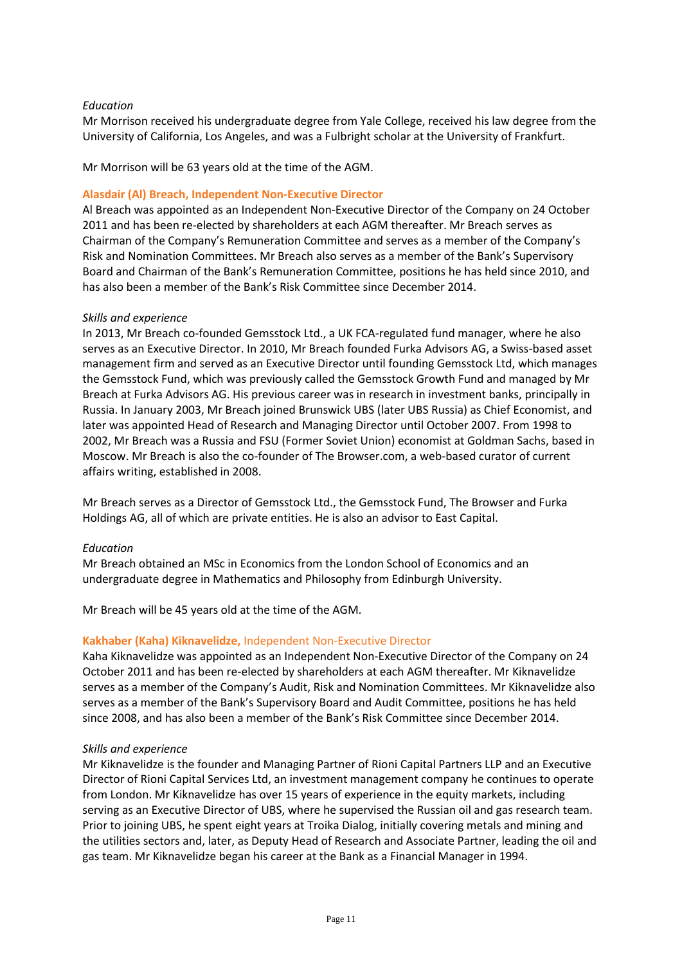# *Education*

Mr Morrison received his undergraduate degree from Yale College, received his law degree from the University of California, Los Angeles, and was a Fulbright scholar at the University of Frankfurt.

Mr Morrison will be 63 years old at the time of the AGM.

# **Alasdair (Al) Breach, Independent Non-Executive Director**

Al Breach was appointed as an Independent Non-Executive Director of the Company on 24 October 2011 and has been re-elected by shareholders at each AGM thereafter. Mr Breach serves as Chairman of the Company's Remuneration Committee and serves as a member of the Company's Risk and Nomination Committees. Mr Breach also serves as a member of the Bank's Supervisory Board and Chairman of the Bank's Remuneration Committee, positions he has held since 2010, and has also been a member of the Bank's Risk Committee since December 2014.

# *Skills and experience*

In 2013, Mr Breach co-founded Gemsstock Ltd., a UK FCA-regulated fund manager, where he also serves as an Executive Director. In 2010, Mr Breach founded Furka Advisors AG, a Swiss-based asset management firm and served as an Executive Director until founding Gemsstock Ltd, which manages the Gemsstock Fund, which was previously called the Gemsstock Growth Fund and managed by Mr Breach at Furka Advisors AG. His previous career was in research in investment banks, principally in Russia. In January 2003, Mr Breach joined Brunswick UBS (later UBS Russia) as Chief Economist, and later was appointed Head of Research and Managing Director until October 2007. From 1998 to 2002, Mr Breach was a Russia and FSU (Former Soviet Union) economist at Goldman Sachs, based in Moscow. Mr Breach is also the co-founder of The Browser.com, a web-based curator of current affairs writing, established in 2008.

Mr Breach serves as a Director of Gemsstock Ltd., the Gemsstock Fund, The Browser and Furka Holdings AG, all of which are private entities. He is also an advisor to East Capital.

# *Education*

Mr Breach obtained an MSc in Economics from the London School of Economics and an undergraduate degree in Mathematics and Philosophy from Edinburgh University.

Mr Breach will be 45 years old at the time of the AGM.

# **Kakhaber (Kaha) Kiknavelidze,** Independent Non-Executive Director

Kaha Kiknavelidze was appointed as an Independent Non-Executive Director of the Company on 24 October 2011 and has been re-elected by shareholders at each AGM thereafter. Mr Kiknavelidze serves as a member of the Company's Audit, Risk and Nomination Committees. Mr Kiknavelidze also serves as a member of the Bank's Supervisory Board and Audit Committee, positions he has held since 2008, and has also been a member of the Bank's Risk Committee since December 2014.

# *Skills and experience*

Mr Kiknavelidze is the founder and Managing Partner of Rioni Capital Partners LLP and an Executive Director of Rioni Capital Services Ltd, an investment management company he continues to operate from London. Mr Kiknavelidze has over 15 years of experience in the equity markets, including serving as an Executive Director of UBS, where he supervised the Russian oil and gas research team. Prior to joining UBS, he spent eight years at Troika Dialog, initially covering metals and mining and the utilities sectors and, later, as Deputy Head of Research and Associate Partner, leading the oil and gas team. Mr Kiknavelidze began his career at the Bank as a Financial Manager in 1994.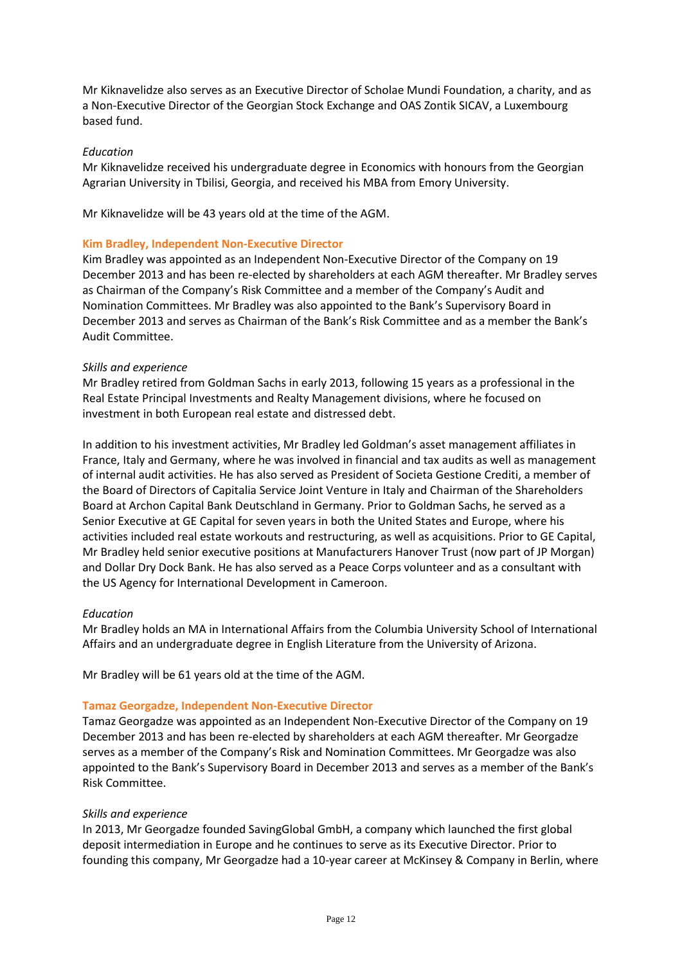Mr Kiknavelidze also serves as an Executive Director of Scholae Mundi Foundation, a charity, and as a Non-Executive Director of the Georgian Stock Exchange and OAS Zontik SICAV, a Luxembourg based fund.

### *Education*

Mr Kiknavelidze received his undergraduate degree in Economics with honours from the Georgian Agrarian University in Tbilisi, Georgia, and received his MBA from Emory University.

Mr Kiknavelidze will be 43 years old at the time of the AGM.

### **Kim Bradley, Independent Non-Executive Director**

Kim Bradley was appointed as an Independent Non-Executive Director of the Company on 19 December 2013 and has been re-elected by shareholders at each AGM thereafter. Mr Bradley serves as Chairman of the Company's Risk Committee and a member of the Company's Audit and Nomination Committees. Mr Bradley was also appointed to the Bank's Supervisory Board in December 2013 and serves as Chairman of the Bank's Risk Committee and as a member the Bank's Audit Committee.

### *Skills and experience*

Mr Bradley retired from Goldman Sachs in early 2013, following 15 years as a professional in the Real Estate Principal Investments and Realty Management divisions, where he focused on investment in both European real estate and distressed debt.

In addition to his investment activities, Mr Bradley led Goldman's asset management affiliates in France, Italy and Germany, where he was involved in financial and tax audits as well as management of internal audit activities. He has also served as President of Societa Gestione Crediti, a member of the Board of Directors of Capitalia Service Joint Venture in Italy and Chairman of the Shareholders Board at Archon Capital Bank Deutschland in Germany. Prior to Goldman Sachs, he served as a Senior Executive at GE Capital for seven years in both the United States and Europe, where his activities included real estate workouts and restructuring, as well as acquisitions. Prior to GE Capital, Mr Bradley held senior executive positions at Manufacturers Hanover Trust (now part of JP Morgan) and Dollar Dry Dock Bank. He has also served as a Peace Corps volunteer and as a consultant with the US Agency for International Development in Cameroon.

#### *Education*

Mr Bradley holds an MA in International Affairs from the Columbia University School of International Affairs and an undergraduate degree in English Literature from the University of Arizona.

Mr Bradley will be 61 years old at the time of the AGM.

#### **Tamaz Georgadze, Independent Non-Executive Director**

Tamaz Georgadze was appointed as an Independent Non-Executive Director of the Company on 19 December 2013 and has been re-elected by shareholders at each AGM thereafter. Mr Georgadze serves as a member of the Company's Risk and Nomination Committees. Mr Georgadze was also appointed to the Bank's Supervisory Board in December 2013 and serves as a member of the Bank's Risk Committee.

#### *Skills and experience*

In 2013, Mr Georgadze founded SavingGlobal GmbH, a company which launched the first global deposit intermediation in Europe and he continues to serve as its Executive Director. Prior to founding this company, Mr Georgadze had a 10-year career at McKinsey & Company in Berlin, where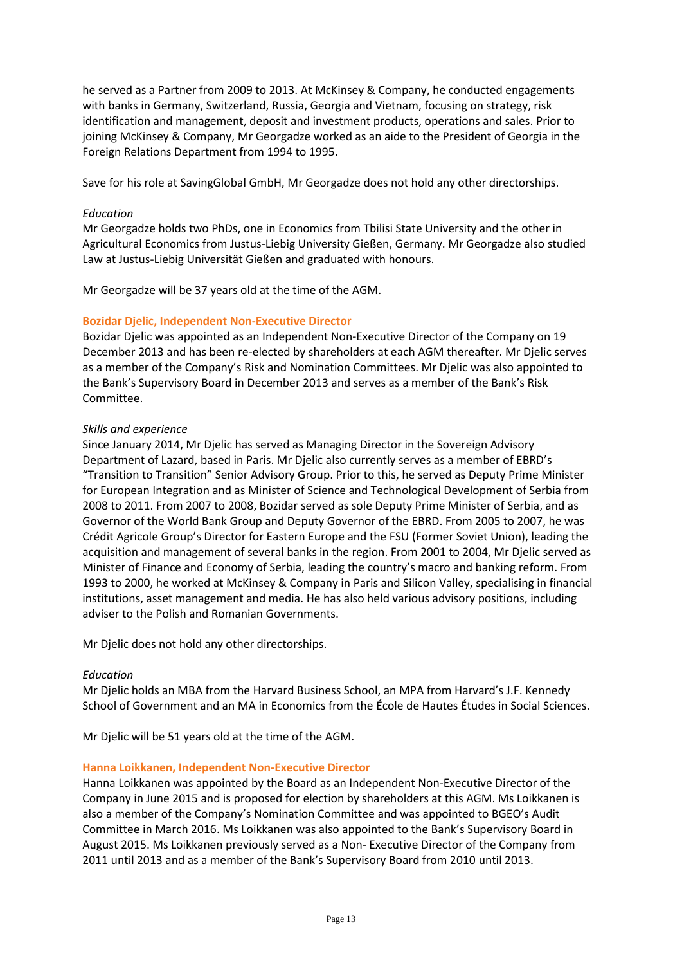he served as a Partner from 2009 to 2013. At McKinsey & Company, he conducted engagements with banks in Germany, Switzerland, Russia, Georgia and Vietnam, focusing on strategy, risk identification and management, deposit and investment products, operations and sales. Prior to joining McKinsey & Company, Mr Georgadze worked as an aide to the President of Georgia in the Foreign Relations Department from 1994 to 1995.

Save for his role at SavingGlobal GmbH, Mr Georgadze does not hold any other directorships.

# *Education*

Mr Georgadze holds two PhDs, one in Economics from Tbilisi State University and the other in Agricultural Economics from Justus-Liebig University Gießen, Germany. Mr Georgadze also studied Law at Justus-Liebig Universität Gießen and graduated with honours.

Mr Georgadze will be 37 years old at the time of the AGM.

### **Bozidar Djelic, Independent Non-Executive Director**

Bozidar Djelic was appointed as an Independent Non-Executive Director of the Company on 19 December 2013 and has been re-elected by shareholders at each AGM thereafter. Mr Djelic serves as a member of the Company's Risk and Nomination Committees. Mr Djelic was also appointed to the Bank's Supervisory Board in December 2013 and serves as a member of the Bank's Risk Committee.

### *Skills and experience*

Since January 2014, Mr Djelic has served as Managing Director in the Sovereign Advisory Department of Lazard, based in Paris. Mr Djelic also currently serves as a member of EBRD's "Transition to Transition" Senior Advisory Group. Prior to this, he served as Deputy Prime Minister for European Integration and as Minister of Science and Technological Development of Serbia from 2008 to 2011. From 2007 to 2008, Bozidar served as sole Deputy Prime Minister of Serbia, and as Governor of the World Bank Group and Deputy Governor of the EBRD. From 2005 to 2007, he was Crédit Agricole Group's Director for Eastern Europe and the FSU (Former Soviet Union), leading the acquisition and management of several banks in the region. From 2001 to 2004, Mr Djelic served as Minister of Finance and Economy of Serbia, leading the country's macro and banking reform. From 1993 to 2000, he worked at McKinsey & Company in Paris and Silicon Valley, specialising in financial institutions, asset management and media. He has also held various advisory positions, including adviser to the Polish and Romanian Governments.

Mr Djelic does not hold any other directorships.

#### *Education*

Mr Djelic holds an MBA from the Harvard Business School, an MPA from Harvard's J.F. Kennedy School of Government and an MA in Economics from the École de Hautes Études in Social Sciences.

Mr Djelic will be 51 years old at the time of the AGM.

# **Hanna Loikkanen, Independent Non-Executive Director**

Hanna Loikkanen was appointed by the Board as an Independent Non-Executive Director of the Company in June 2015 and is proposed for election by shareholders at this AGM. Ms Loikkanen is also a member of the Company's Nomination Committee and was appointed to BGEO's Audit Committee in March 2016. Ms Loikkanen was also appointed to the Bank's Supervisory Board in August 2015. Ms Loikkanen previously served as a Non- Executive Director of the Company from 2011 until 2013 and as a member of the Bank's Supervisory Board from 2010 until 2013.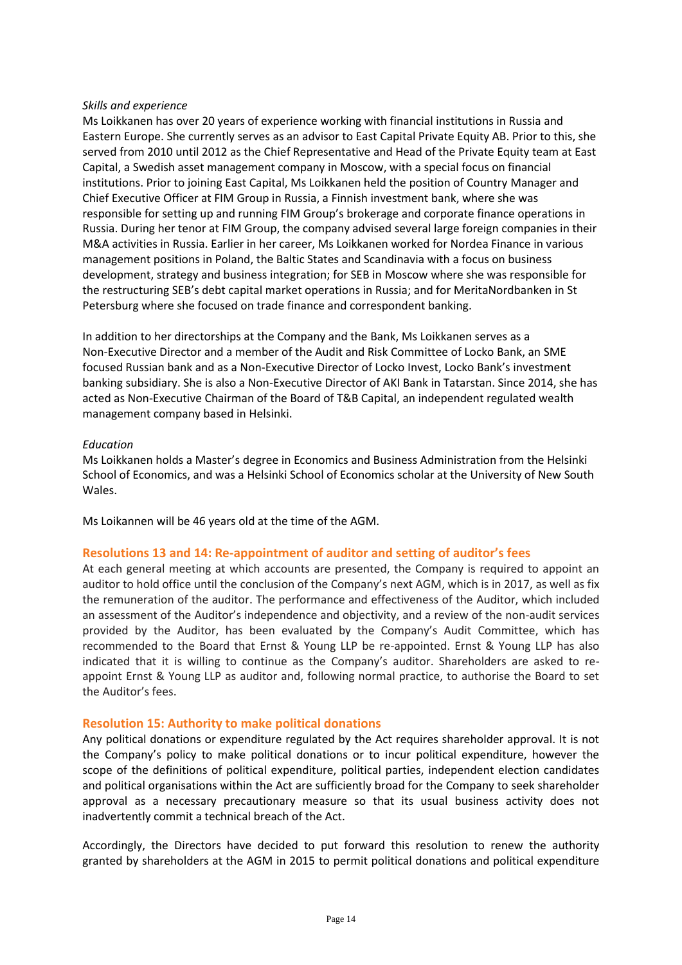# *Skills and experience*

Ms Loikkanen has over 20 years of experience working with financial institutions in Russia and Eastern Europe. She currently serves as an advisor to East Capital Private Equity AB. Prior to this, she served from 2010 until 2012 as the Chief Representative and Head of the Private Equity team at East Capital, a Swedish asset management company in Moscow, with a special focus on financial institutions. Prior to joining East Capital, Ms Loikkanen held the position of Country Manager and Chief Executive Officer at FIM Group in Russia, a Finnish investment bank, where she was responsible for setting up and running FIM Group's brokerage and corporate finance operations in Russia. During her tenor at FIM Group, the company advised several large foreign companies in their M&A activities in Russia. Earlier in her career, Ms Loikkanen worked for Nordea Finance in various management positions in Poland, the Baltic States and Scandinavia with a focus on business development, strategy and business integration; for SEB in Moscow where she was responsible for the restructuring SEB's debt capital market operations in Russia; and for MeritaNordbanken in St Petersburg where she focused on trade finance and correspondent banking.

In addition to her directorships at the Company and the Bank, Ms Loikkanen serves as a Non-Executive Director and a member of the Audit and Risk Committee of Locko Bank, an SME focused Russian bank and as a Non-Executive Director of Locko Invest, Locko Bank's investment banking subsidiary. She is also a Non-Executive Director of AKI Bank in Tatarstan. Since 2014, she has acted as Non-Executive Chairman of the Board of T&B Capital, an independent regulated wealth management company based in Helsinki.

### *Education*

Ms Loikkanen holds a Master's degree in Economics and Business Administration from the Helsinki School of Economics, and was a Helsinki School of Economics scholar at the University of New South Wales.

Ms Loikannen will be 46 years old at the time of the AGM.

# **Resolutions 13 and 14: Re-appointment of auditor and setting of auditor's fees**

At each general meeting at which accounts are presented, the Company is required to appoint an auditor to hold office until the conclusion of the Company's next AGM, which is in 2017, as well as fix the remuneration of the auditor. The performance and effectiveness of the Auditor, which included an assessment of the Auditor's independence and objectivity, and a review of the non-audit services provided by the Auditor, has been evaluated by the Company's Audit Committee, which has recommended to the Board that Ernst & Young LLP be re-appointed. Ernst & Young LLP has also indicated that it is willing to continue as the Company's auditor. Shareholders are asked to reappoint Ernst & Young LLP as auditor and, following normal practice, to authorise the Board to set the Auditor's fees.

# **Resolution 15: Authority to make political donations**

Any political donations or expenditure regulated by the Act requires shareholder approval. It is not the Company's policy to make political donations or to incur political expenditure, however the scope of the definitions of political expenditure, political parties, independent election candidates and political organisations within the Act are sufficiently broad for the Company to seek shareholder approval as a necessary precautionary measure so that its usual business activity does not inadvertently commit a technical breach of the Act.

Accordingly, the Directors have decided to put forward this resolution to renew the authority granted by shareholders at the AGM in 2015 to permit political donations and political expenditure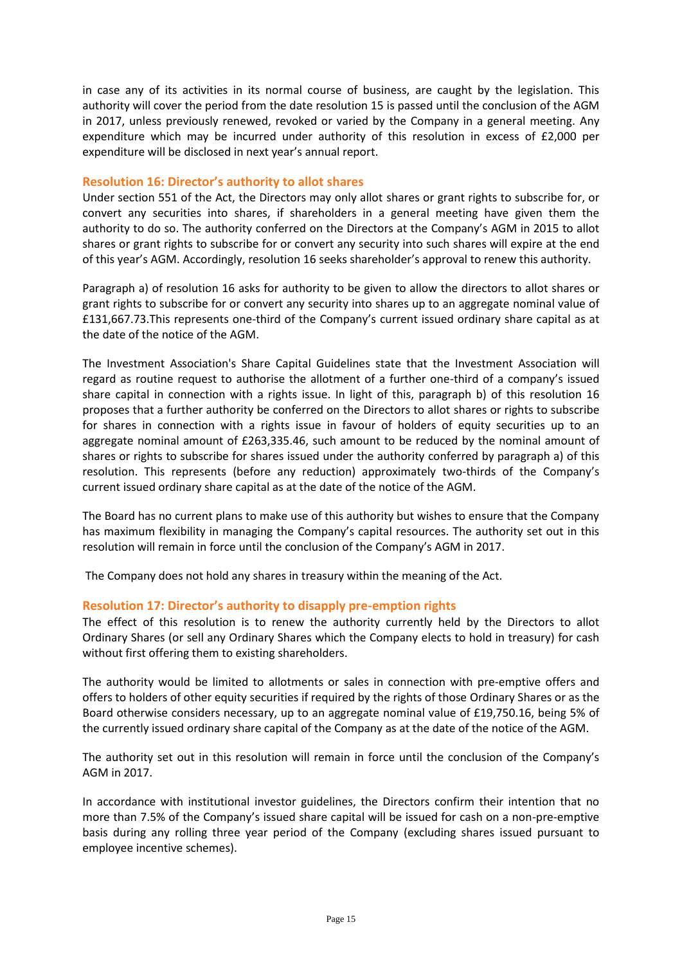in case any of its activities in its normal course of business, are caught by the legislation. This authority will cover the period from the date resolution 15 is passed until the conclusion of the AGM in 2017, unless previously renewed, revoked or varied by the Company in a general meeting. Any expenditure which may be incurred under authority of this resolution in excess of £2,000 per expenditure will be disclosed in next year's annual report.

# **Resolution 16: Director's authority to allot shares**

Under section 551 of the Act, the Directors may only allot shares or grant rights to subscribe for, or convert any securities into shares, if shareholders in a general meeting have given them the authority to do so. The authority conferred on the Directors at the Company's AGM in 2015 to allot shares or grant rights to subscribe for or convert any security into such shares will expire at the end of this year's AGM. Accordingly, resolution 16 seeks shareholder's approval to renew this authority.

Paragraph a) of resolution 16 asks for authority to be given to allow the directors to allot shares or grant rights to subscribe for or convert any security into shares up to an aggregate nominal value of £131,667.73.This represents one-third of the Company's current issued ordinary share capital as at the date of the notice of the AGM.

The Investment Association's Share Capital Guidelines state that the Investment Association will regard as routine request to authorise the allotment of a further one-third of a company's issued share capital in connection with a rights issue. In light of this, paragraph b) of this resolution 16 proposes that a further authority be conferred on the Directors to allot shares or rights to subscribe for shares in connection with a rights issue in favour of holders of equity securities up to an aggregate nominal amount of £263,335.46, such amount to be reduced by the nominal amount of shares or rights to subscribe for shares issued under the authority conferred by paragraph a) of this resolution. This represents (before any reduction) approximately two-thirds of the Company's current issued ordinary share capital as at the date of the notice of the AGM.

The Board has no current plans to make use of this authority but wishes to ensure that the Company has maximum flexibility in managing the Company's capital resources. The authority set out in this resolution will remain in force until the conclusion of the Company's AGM in 2017.

The Company does not hold any shares in treasury within the meaning of the Act.

# **Resolution 17: Director's authority to disapply pre-emption rights**

The effect of this resolution is to renew the authority currently held by the Directors to allot Ordinary Shares (or sell any Ordinary Shares which the Company elects to hold in treasury) for cash without first offering them to existing shareholders.

The authority would be limited to allotments or sales in connection with pre-emptive offers and offers to holders of other equity securities if required by the rights of those Ordinary Shares or as the Board otherwise considers necessary, up to an aggregate nominal value of £19,750.16, being 5% of the currently issued ordinary share capital of the Company as at the date of the notice of the AGM.

The authority set out in this resolution will remain in force until the conclusion of the Company's AGM in 2017.

In accordance with institutional investor guidelines, the Directors confirm their intention that no more than 7.5% of the Company's issued share capital will be issued for cash on a non-pre-emptive basis during any rolling three year period of the Company (excluding shares issued pursuant to employee incentive schemes).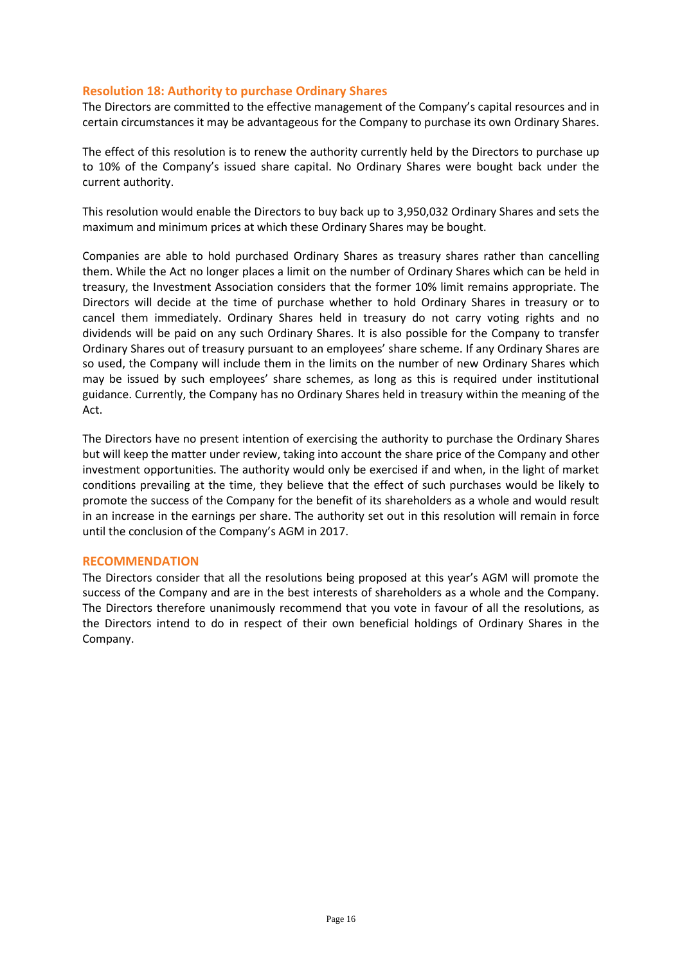# **Resolution 18: Authority to purchase Ordinary Shares**

The Directors are committed to the effective management of the Company's capital resources and in certain circumstances it may be advantageous for the Company to purchase its own Ordinary Shares.

The effect of this resolution is to renew the authority currently held by the Directors to purchase up to 10% of the Company's issued share capital. No Ordinary Shares were bought back under the current authority.

This resolution would enable the Directors to buy back up to 3,950,032 Ordinary Shares and sets the maximum and minimum prices at which these Ordinary Shares may be bought.

Companies are able to hold purchased Ordinary Shares as treasury shares rather than cancelling them. While the Act no longer places a limit on the number of Ordinary Shares which can be held in treasury, the Investment Association considers that the former 10% limit remains appropriate. The Directors will decide at the time of purchase whether to hold Ordinary Shares in treasury or to cancel them immediately. Ordinary Shares held in treasury do not carry voting rights and no dividends will be paid on any such Ordinary Shares. It is also possible for the Company to transfer Ordinary Shares out of treasury pursuant to an employees' share scheme. If any Ordinary Shares are so used, the Company will include them in the limits on the number of new Ordinary Shares which may be issued by such employees' share schemes, as long as this is required under institutional guidance. Currently, the Company has no Ordinary Shares held in treasury within the meaning of the Act.

The Directors have no present intention of exercising the authority to purchase the Ordinary Shares but will keep the matter under review, taking into account the share price of the Company and other investment opportunities. The authority would only be exercised if and when, in the light of market conditions prevailing at the time, they believe that the effect of such purchases would be likely to promote the success of the Company for the benefit of its shareholders as a whole and would result in an increase in the earnings per share. The authority set out in this resolution will remain in force until the conclusion of the Company's AGM in 2017.

# **RECOMMENDATION**

The Directors consider that all the resolutions being proposed at this year's AGM will promote the success of the Company and are in the best interests of shareholders as a whole and the Company. The Directors therefore unanimously recommend that you vote in favour of all the resolutions, as the Directors intend to do in respect of their own beneficial holdings of Ordinary Shares in the Company.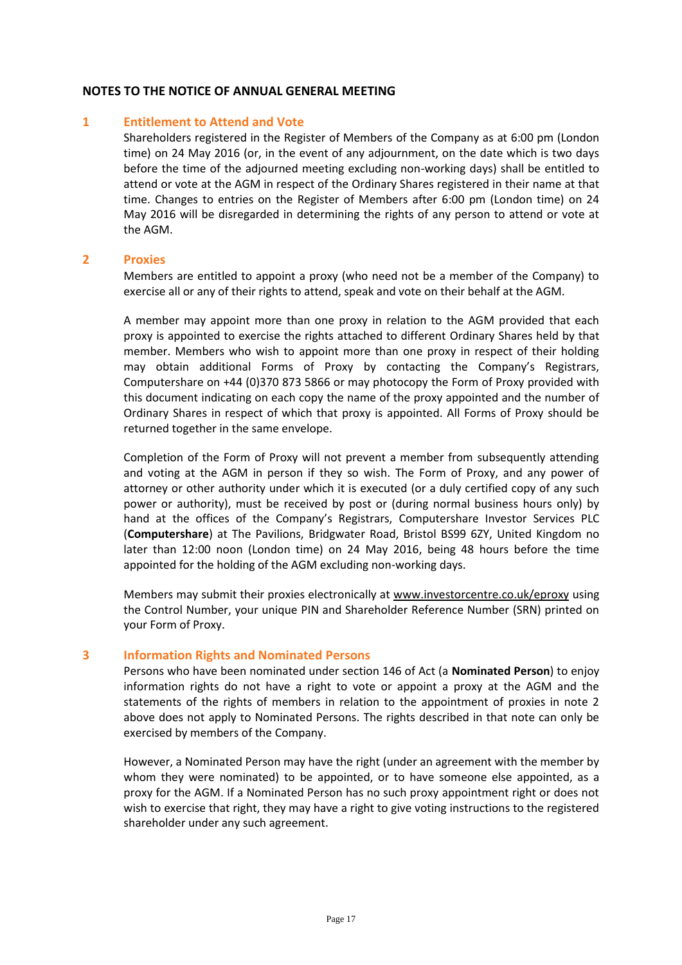# **NOTES TO THE NOTICE OF ANNUAL GENERAL MEETING**

### **1 Entitlement to Attend and Vote**

Shareholders registered in the Register of Members of the Company as at 6:00 pm (London time) on 24 May 2016 (or, in the event of any adjournment, on the date which is two days before the time of the adjourned meeting excluding non-working days) shall be entitled to attend or vote at the AGM in respect of the Ordinary Shares registered in their name at that time. Changes to entries on the Register of Members after 6:00 pm (London time) on 24 May 2016 will be disregarded in determining the rights of any person to attend or vote at the AGM.

### **2 Proxies**

Members are entitled to appoint a proxy (who need not be a member of the Company) to exercise all or any of their rights to attend, speak and vote on their behalf at the AGM.

A member may appoint more than one proxy in relation to the AGM provided that each proxy is appointed to exercise the rights attached to different Ordinary Shares held by that member. Members who wish to appoint more than one proxy in respect of their holding may obtain additional Forms of Proxy by contacting the Company's Registrars, Computershare on +44 (0)370 873 5866 or may photocopy the Form of Proxy provided with this document indicating on each copy the name of the proxy appointed and the number of Ordinary Shares in respect of which that proxy is appointed. All Forms of Proxy should be returned together in the same envelope.

Completion of the Form of Proxy will not prevent a member from subsequently attending and voting at the AGM in person if they so wish. The Form of Proxy, and any power of attorney or other authority under which it is executed (or a duly certified copy of any such power or authority), must be received by post or (during normal business hours only) by hand at the offices of the Company's Registrars, Computershare Investor Services PLC (**Computershare**) at The Pavilions, Bridgwater Road, Bristol BS99 6ZY, United Kingdom no later than 12:00 noon (London time) on 24 May 2016, being 48 hours before the time appointed for the holding of the AGM excluding non-working days.

Members may submit their proxies electronically at [www.investorcentre.co.uk/eproxy](http://www.investorcentre.co.uk/eproxy) using the Control Number, your unique PIN and Shareholder Reference Number (SRN) printed on your Form of Proxy.

#### **3 Information Rights and Nominated Persons**

Persons who have been nominated under section 146 of Act (a **Nominated Person**) to enjoy information rights do not have a right to vote or appoint a proxy at the AGM and the statements of the rights of members in relation to the appointment of proxies in note 2 above does not apply to Nominated Persons. The rights described in that note can only be exercised by members of the Company.

However, a Nominated Person may have the right (under an agreement with the member by whom they were nominated) to be appointed, or to have someone else appointed, as a proxy for the AGM. If a Nominated Person has no such proxy appointment right or does not wish to exercise that right, they may have a right to give voting instructions to the registered shareholder under any such agreement.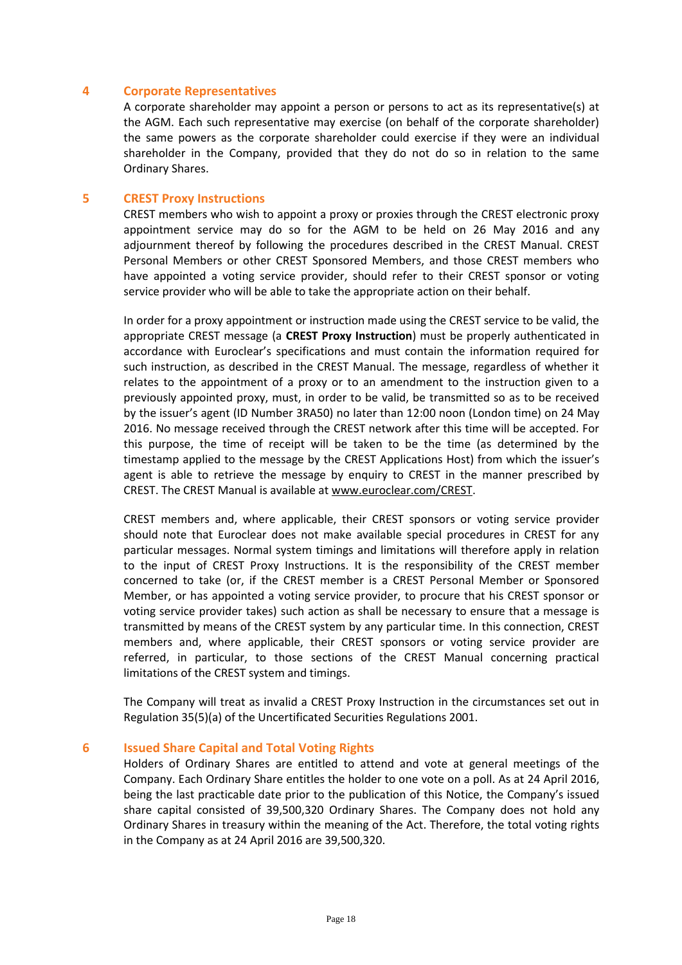### **4 Corporate Representatives**

A corporate shareholder may appoint a person or persons to act as its representative(s) at the AGM. Each such representative may exercise (on behalf of the corporate shareholder) the same powers as the corporate shareholder could exercise if they were an individual shareholder in the Company, provided that they do not do so in relation to the same Ordinary Shares.

# **5 CREST Proxy Instructions**

CREST members who wish to appoint a proxy or proxies through the CREST electronic proxy appointment service may do so for the AGM to be held on 26 May 2016 and any adjournment thereof by following the procedures described in the CREST Manual. CREST Personal Members or other CREST Sponsored Members, and those CREST members who have appointed a voting service provider, should refer to their CREST sponsor or voting service provider who will be able to take the appropriate action on their behalf.

In order for a proxy appointment or instruction made using the CREST service to be valid, the appropriate CREST message (a **CREST Proxy Instruction**) must be properly authenticated in accordance with Euroclear's specifications and must contain the information required for such instruction, as described in the CREST Manual. The message, regardless of whether it relates to the appointment of a proxy or to an amendment to the instruction given to a previously appointed proxy, must, in order to be valid, be transmitted so as to be received by the issuer's agent (ID Number 3RA50) no later than 12:00 noon (London time) on 24 May 2016. No message received through the CREST network after this time will be accepted. For this purpose, the time of receipt will be taken to be the time (as determined by the timestamp applied to the message by the CREST Applications Host) from which the issuer's agent is able to retrieve the message by enquiry to CREST in the manner prescribed by CREST. The CREST Manual is available a[t www.euroclear.com/CREST.](http://www.euroclear.com/CREST)

CREST members and, where applicable, their CREST sponsors or voting service provider should note that Euroclear does not make available special procedures in CREST for any particular messages. Normal system timings and limitations will therefore apply in relation to the input of CREST Proxy Instructions. It is the responsibility of the CREST member concerned to take (or, if the CREST member is a CREST Personal Member or Sponsored Member, or has appointed a voting service provider, to procure that his CREST sponsor or voting service provider takes) such action as shall be necessary to ensure that a message is transmitted by means of the CREST system by any particular time. In this connection, CREST members and, where applicable, their CREST sponsors or voting service provider are referred, in particular, to those sections of the CREST Manual concerning practical limitations of the CREST system and timings.

The Company will treat as invalid a CREST Proxy Instruction in the circumstances set out in Regulation 35(5)(a) of the Uncertificated Securities Regulations 2001.

### **6 Issued Share Capital and Total Voting Rights**

Holders of Ordinary Shares are entitled to attend and vote at general meetings of the Company. Each Ordinary Share entitles the holder to one vote on a poll. As at 24 April 2016, being the last practicable date prior to the publication of this Notice, the Company's issued share capital consisted of 39,500,320 Ordinary Shares. The Company does not hold any Ordinary Shares in treasury within the meaning of the Act. Therefore, the total voting rights in the Company as at 24 April 2016 are 39,500,320.